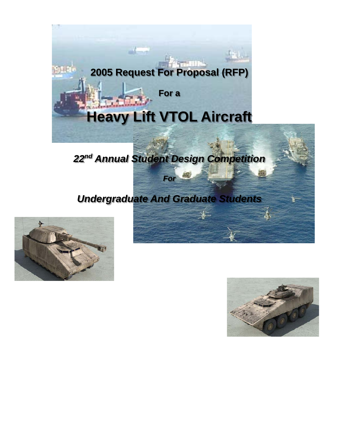

# *22nd Annual Student Design Competition*

*For* 

## *Undergraduate And Graduate Students*



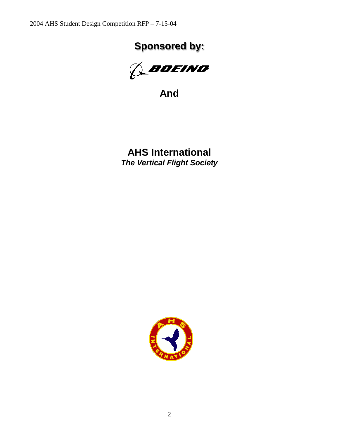# **Sponsored by:**



**And**

**AHS International**  *The Vertical Flight Society*

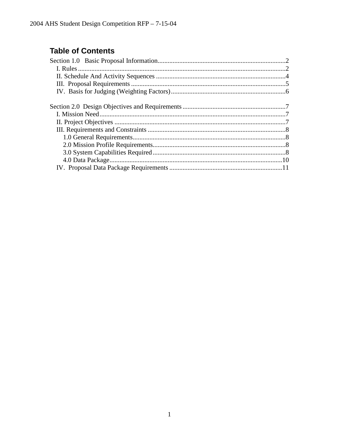## **Table of Contents**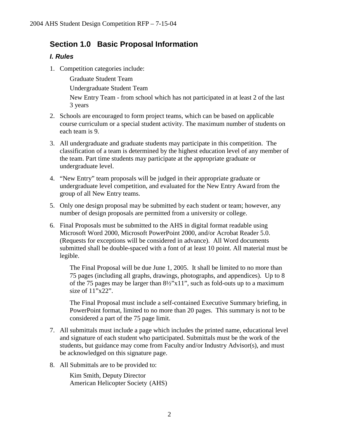### **Section 1.0 Basic Proposal Information**

#### *I. Rules*

1. Competition categories include:

Graduate Student Team

Undergraduate Student Team

New Entry Team - from school which has not participated in at least 2 of the last 3 years

- 2. Schools are encouraged to form project teams, which can be based on applicable course curriculum or a special student activity. The maximum number of students on each team is 9.
- 3. All undergraduate and graduate students may participate in this competition. The classification of a team is determined by the highest education level of any member of the team. Part time students may participate at the appropriate graduate or undergraduate level.
- 4. "New Entry" team proposals will be judged in their appropriate graduate or undergraduate level competition, and evaluated for the New Entry Award from the group of all New Entry teams.
- 5. Only one design proposal may be submitted by each student or team; however, any number of design proposals are permitted from a university or college.
- 6. Final Proposals must be submitted to the AHS in digital format readable using Microsoft Word 2000, Microsoft PowerPoint 2000, and/or Acrobat Reader 5.0. (Requests for exceptions will be considered in advance). All Word documents submitted shall be double-spaced with a font of at least 10 point. All material must be legible.

The Final Proposal will be due June 1, 2005. It shall be limited to no more than 75 pages (including all graphs, drawings, photographs, and appendices). Up to 8 of the 75 pages may be larger than 8½"x11", such as fold-outs up to a maximum size of 11"x22".

The Final Proposal must include a self-contained Executive Summary briefing, in PowerPoint format, limited to no more than 20 pages. This summary is not to be considered a part of the 75 page limit.

- 7. All submittals must include a page which includes the printed name, educational level and signature of each student who participated. Submittals must be the work of the students, but guidance may come from Faculty and/or Industry Advisor(s), and must be acknowledged on this signature page.
- 8. All Submittals are to be provided to:

Kim Smith, Deputy Director American Helicopter Society (AHS)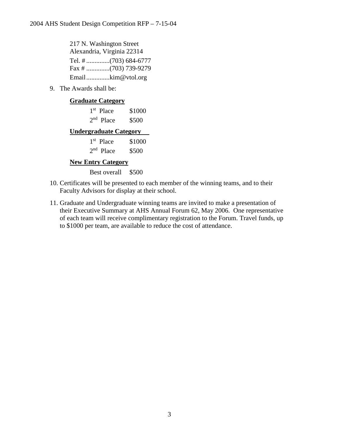217 N. Washington Street Alexandria, Virginia 22314 Tel. # ..............(703) 684-6777 Fax # ..............(703) 739-9279 Email..............kim@vtol.org

9. The Awards shall be:

#### **Graduate Category**

| $1st$ Place | \$1000 |
|-------------|--------|
| $2nd$ Place | \$500  |

#### **Undergraduate Category**

| $1st$ Place | \$1000 |
|-------------|--------|
| $2nd$ Place | \$500  |

#### **New Entry Category**

Best overall \$500

- 10. Certificates will be presented to each member of the winning teams, and to their Faculty Advisors for display at their school.
- 11. Graduate and Undergraduate winning teams are invited to make a presentation of their Executive Summary at AHS Annual Forum 62, May 2006. One representative of each team will receive complimentary registration to the Forum. Travel funds, up to \$1000 per team, are available to reduce the cost of attendance.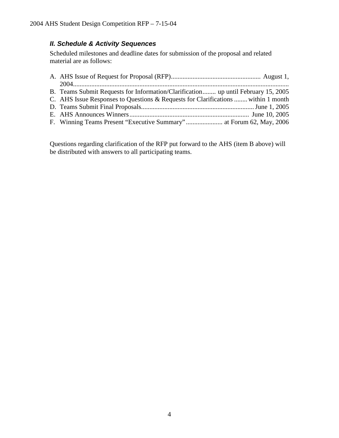#### *II. Schedule & Activity Sequences*

Scheduled milestones and deadline dates for submission of the proposal and related material are as follows:

| B. Teams Submit Requests for Information/Clarification up until February 15, 2005 |
|-----------------------------------------------------------------------------------|
| C. AHS Issue Responses to Questions & Requests for Clarifications  within 1 month |
|                                                                                   |
|                                                                                   |
|                                                                                   |

Questions regarding clarification of the RFP put forward to the AHS (item B above) will be distributed with answers to all participating teams.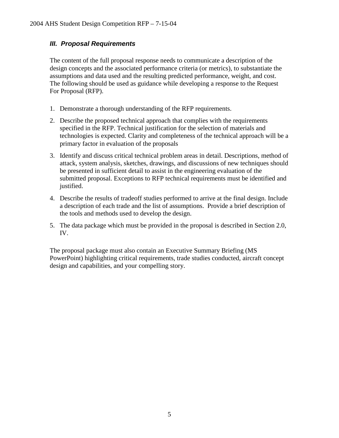#### *III. Proposal Requirements*

The content of the full proposal response needs to communicate a description of the design concepts and the associated performance criteria (or metrics), to substantiate the assumptions and data used and the resulting predicted performance, weight, and cost. The following should be used as guidance while developing a response to the Request For Proposal (RFP).

- 1. Demonstrate a thorough understanding of the RFP requirements.
- 2. Describe the proposed technical approach that complies with the requirements specified in the RFP. Technical justification for the selection of materials and technologies is expected. Clarity and completeness of the technical approach will be a primary factor in evaluation of the proposals
- 3. Identify and discuss critical technical problem areas in detail. Descriptions, method of attack, system analysis, sketches, drawings, and discussions of new techniques should be presented in sufficient detail to assist in the engineering evaluation of the submitted proposal. Exceptions to RFP technical requirements must be identified and justified.
- 4. Describe the results of tradeoff studies performed to arrive at the final design. Include a description of each trade and the list of assumptions. Provide a brief description of the tools and methods used to develop the design.
- 5. The data package which must be provided in the proposal is described in Section 2.0, IV.

The proposal package must also contain an Executive Summary Briefing (MS PowerPoint) highlighting critical requirements, trade studies conducted, aircraft concept design and capabilities, and your compelling story.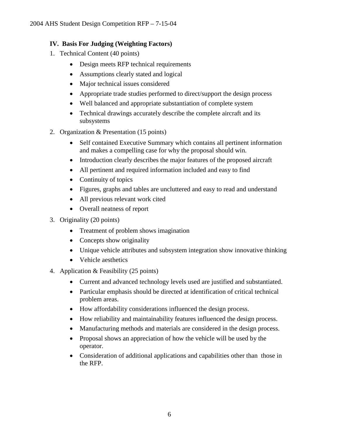#### **IV. Basis For Judging (Weighting Factors)**

- 1. Technical Content (40 points)
	- Design meets RFP technical requirements
	- Assumptions clearly stated and logical
	- Major technical issues considered
	- Appropriate trade studies performed to direct/support the design process
	- Well balanced and appropriate substantiation of complete system
	- Technical drawings accurately describe the complete aircraft and its subsystems
- 2. Organization & Presentation (15 points)
	- Self contained Executive Summary which contains all pertinent information and makes a compelling case for why the proposal should win.
	- Introduction clearly describes the major features of the proposed aircraft
	- All pertinent and required information included and easy to find
	- Continuity of topics
	- Figures, graphs and tables are uncluttered and easy to read and understand
	- All previous relevant work cited
	- Overall neatness of report
- 3. Originality (20 points)
	- Treatment of problem shows imagination
	- Concepts show originality
	- Unique vehicle attributes and subsystem integration show innovative thinking
	- Vehicle aesthetics
- 4. Application & Feasibility (25 points)
	- Current and advanced technology levels used are justified and substantiated.
	- Particular emphasis should be directed at identification of critical technical problem areas.
	- How affordability considerations influenced the design process.
	- How reliability and maintainability features influenced the design process.
	- Manufacturing methods and materials are considered in the design process.
	- Proposal shows an appreciation of how the vehicle will be used by the operator.
	- Consideration of additional applications and capabilities other than those in the RFP.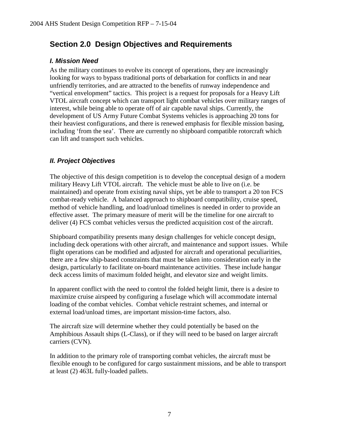### **Section 2.0 Design Objectives and Requirements**

#### *I. Mission Need*

As the military continues to evolve its concept of operations, they are increasingly looking for ways to bypass traditional ports of debarkation for conflicts in and near unfriendly territories, and are attracted to the benefits of runway independence and "vertical envelopment" tactics. This project is a request for proposals for a Heavy Lift VTOL aircraft concept which can transport light combat vehicles over military ranges of interest, while being able to operate off of air capable naval ships. Currently, the development of US Army Future Combat Systems vehicles is approaching 20 tons for their heaviest configurations, and there is renewed emphasis for flexible mission basing, including 'from the sea'. There are currently no shipboard compatible rotorcraft which can lift and transport such vehicles.

#### *II. Project Objectives*

The objective of this design competition is to develop the conceptual design of a modern military Heavy Lift VTOL aircraft. The vehicle must be able to live on (i.e. be maintained) and operate from existing naval ships, yet be able to transport a 20 ton FCS combat-ready vehicle. A balanced approach to shipboard compatibility, cruise speed, method of vehicle handling, and load/unload timelines is needed in order to provide an effective asset. The primary measure of merit will be the timeline for one aircraft to deliver (4) FCS combat vehicles versus the predicted acquisition cost of the aircraft.

Shipboard compatibility presents many design challenges for vehicle concept design, including deck operations with other aircraft, and maintenance and support issues. While flight operations can be modified and adjusted for aircraft and operational peculiarities, there are a few ship-based constraints that must be taken into consideration early in the design, particularly to facilitate on-board maintenance activities. These include hangar deck access limits of maximum folded height, and elevator size and weight limits.

In apparent conflict with the need to control the folded height limit, there is a desire to maximize cruise airspeed by configuring a fuselage which will accommodate internal loading of the combat vehicles. Combat vehicle restraint schemes, and internal or external load/unload times, are important mission-time factors, also.

The aircraft size will determine whether they could potentially be based on the Amphibious Assault ships (L-Class), or if they will need to be based on larger aircraft carriers (CVN).

In addition to the primary role of transporting combat vehicles, the aircraft must be flexible enough to be configured for cargo sustainment missions, and be able to transport at least (2) 463L fully-loaded pallets.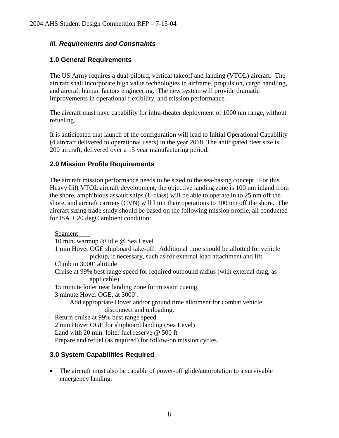#### *III. Requirements and Constraints*

#### **1.0 General Requirements**

The US Army requires a dual-piloted, vertical takeoff and landing (VTOL) aircraft. The aircraft shall incorporate high value technologies in airframe, propulsion, cargo handling, and aircraft human factors engineering. The new system will provide dramatic improvements in operational flexibility, and mission performance.

The aircraft must have capability for intra-theater deployment of 1000 nm range, without refueling.

It is anticipated that launch of the configuration will lead to Initial Operational Capability (4 aircraft delivered to operational users) in the year 2018. The anticipated fleet size is 200 aircraft, delivered over a 15 year manufacturing period.

#### **2.0 Mission Profile Requirements**

The aircraft mission performance needs to be sized to the sea-basing concept. For this Heavy Lift VTOL aircraft development, the objective landing zone is 100 nm inland from the shore, amphibious assault ships (L-class) will be able to operate in to 25 nm off the shore, and aircraft carriers (CVN) will limit their operations to 100 nm off the shore. The aircraft sizing trade study should be based on the following mission profile, all conducted for  $ISA + 20$  degC ambient condition:

Segment 10 min. warmup @ idle @ Sea Level 1 min Hover OGE shipboard take-off. Additional time should be allotted for vehicle pickup, if necessary, such as for external load attachment and lift. Climb to 3000' altitude Cruise at 99% best range speed for required outbound radius (with external drag, as applicable) 15 minute loiter near landing zone for mission cueing. 3 minute Hover OGE, at 3000'. Add appropriate Hover and/or ground time allotment for combat vehicle disconnect and unloading. Return cruise at 99% best range speed. 2 min Hover OGE for shipboard landing (Sea Level) Land with 20 min. loiter fuel reserve @ 500 ft Prepare and refuel (as required) for follow-on mission cycles.

#### **3.0 System Capabilities Required**

• The aircraft must also be capable of power-off glide/autorotation to a survivable emergency landing.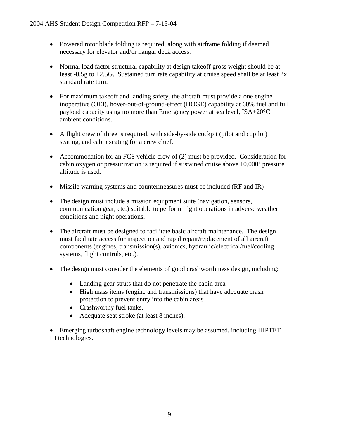- Powered rotor blade folding is required, along with airframe folding if deemed necessary for elevator and/or hangar deck access.
- Normal load factor structural capability at design takeoff gross weight should be at least  $-0.5g$  to  $+2.5G$ . Sustained turn rate capability at cruise speed shall be at least 2x standard rate turn.
- For maximum takeoff and landing safety, the aircraft must provide a one engine inoperative (OEI), hover-out-of-ground-effect (HOGE) capability at 60% fuel and full payload capacity using no more than Emergency power at sea level, ISA+20°C ambient conditions.
- A flight crew of three is required, with side-by-side cockpit (pilot and copilot) seating, and cabin seating for a crew chief.
- Accommodation for an FCS vehicle crew of (2) must be provided. Consideration for cabin oxygen or pressurization is required if sustained cruise above 10,000' pressure altitude is used.
- Missile warning systems and countermeasures must be included (RF and IR)
- The design must include a mission equipment suite (navigation, sensors, communication gear, etc.) suitable to perform flight operations in adverse weather conditions and night operations.
- The aircraft must be designed to facilitate basic aircraft maintenance. The design must facilitate access for inspection and rapid repair/replacement of all aircraft components (engines, transmission(s), avionics, hydraulic/electrical/fuel/cooling systems, flight controls, etc.).
- The design must consider the elements of good crashworthiness design, including:
	- Landing gear struts that do not penetrate the cabin area
	- High mass items (engine and transmissions) that have adequate crash protection to prevent entry into the cabin areas
	- Crashworthy fuel tanks,
	- Adequate seat stroke (at least 8 inches).

• Emerging turboshaft engine technology levels may be assumed, including IHPTET III technologies.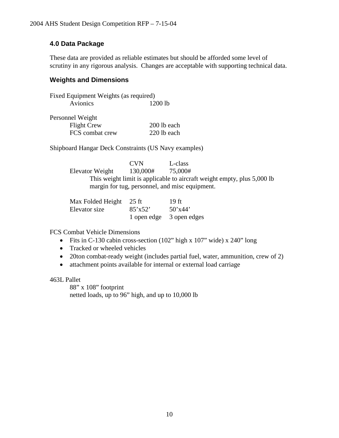#### **4.0 Data Package**

These data are provided as reliable estimates but should be afforded some level of scrutiny in any rigorous analysis. Changes are acceptable with supporting technical data.

#### **Weights and Dimensions**

|          | Fixed Equipment Weights (as required) |
|----------|---------------------------------------|
| Avionics | $1200$ lb                             |

| Personnel Weight   |             |
|--------------------|-------------|
| <b>Flight Crew</b> | 200 lb each |
| FCS combat crew    | 220 lb each |

Shipboard Hangar Deck Constraints (US Navy examples)

CVN L-class<br>130,000# 75,000# Elevator Weight 130,000# This weight limit is applicable to aircraft weight empty, plus 5,000 lb margin for tug, personnel, and misc equipment.

| Max Folded Height 25 ft |         | 19 ft                    |
|-------------------------|---------|--------------------------|
| Elevator size           | 85'x52' | 50'x44'                  |
|                         |         | 1 open edge 3 open edges |

FCS Combat Vehicle Dimensions

- Fits in C-130 cabin cross-section (102" high x 107" wide) x 240" long
- Tracked or wheeled vehicles
- 20ton combat-ready weight (includes partial fuel, water, ammunition, crew of 2)
- attachment points available for internal or external load carriage

#### 463L Pallet

88" x 108" footprint netted loads, up to 96" high, and up to 10,000 lb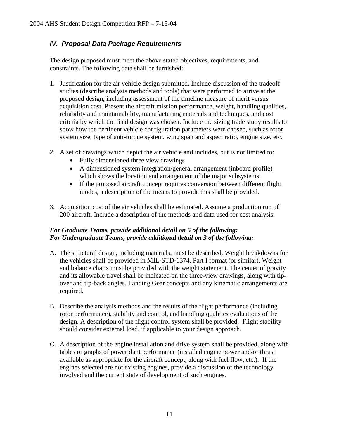#### *IV. Proposal Data Package Requirements*

The design proposed must meet the above stated objectives, requirements, and constraints. The following data shall be furnished:

- 1. Justification for the air vehicle design submitted. Include discussion of the tradeoff studies (describe analysis methods and tools) that were performed to arrive at the proposed design, including assessment of the timeline measure of merit versus acquisition cost. Present the aircraft mission performance, weight, handling qualities, reliability and maintainability, manufacturing materials and techniques, and cost criteria by which the final design was chosen. Include the sizing trade study results to show how the pertinent vehicle configuration parameters were chosen, such as rotor system size, type of anti-torque system, wing span and aspect ratio, engine size, etc.
- 2. A set of drawings which depict the air vehicle and includes, but is not limited to:
	- Fully dimensioned three view drawings
	- A dimensioned system integration/general arrangement (inboard profile) which shows the location and arrangement of the major subsystems.
	- If the proposed aircraft concept requires conversion between different flight modes, a description of the means to provide this shall be provided.
- 3. Acquisition cost of the air vehicles shall be estimated. Assume a production run of 200 aircraft. Include a description of the methods and data used for cost analysis.

#### *For Graduate Teams, provide additional detail on 5 of the following: For Undergraduate Teams, provide additional detail on 3 of the following:*

- A. The structural design, including materials, must be described. Weight breakdowns for the vehicles shall be provided in MIL-STD-1374, Part I format (or similar). Weight and balance charts must be provided with the weight statement. The center of gravity and its allowable travel shall be indicated on the three-view drawings, along with tipover and tip-back angles. Landing Gear concepts and any kinematic arrangements are required.
- B. Describe the analysis methods and the results of the flight performance (including rotor performance), stability and control, and handling qualities evaluations of the design. A description of the flight control system shall be provided. Flight stability should consider external load, if applicable to your design approach.
- C. A description of the engine installation and drive system shall be provided, along with tables or graphs of powerplant performance (installed engine power and/or thrust available as appropriate for the aircraft concept, along with fuel flow, etc.). If the engines selected are not existing engines, provide a discussion of the technology involved and the current state of development of such engines.